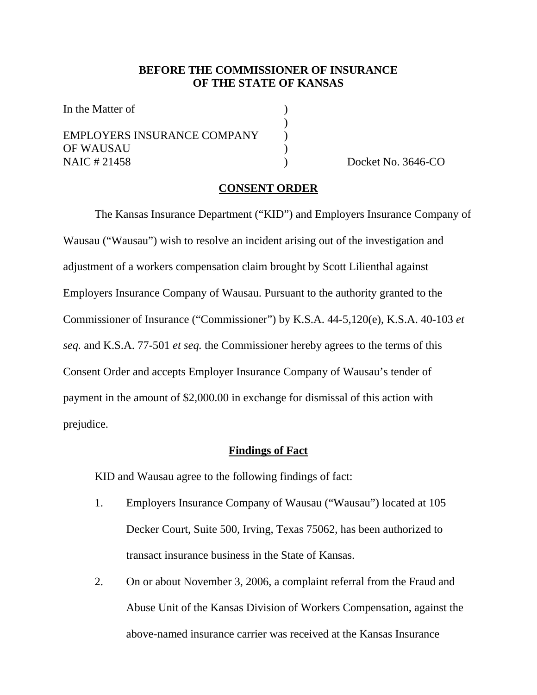### **BEFORE THE COMMISSIONER OF INSURANCE OF THE STATE OF KANSAS**

| In the Matter of            |  |
|-----------------------------|--|
|                             |  |
| EMPLOYERS INSURANCE COMPANY |  |
| OF WAUSAU                   |  |
| NAIC # 21458                |  |

Docket No.  $3646$ -CO.

#### **CONSENT ORDER**

 The Kansas Insurance Department ("KID") and Employers Insurance Company of Wausau ("Wausau") wish to resolve an incident arising out of the investigation and adjustment of a workers compensation claim brought by Scott Lilienthal against Employers Insurance Company of Wausau. Pursuant to the authority granted to the Commissioner of Insurance ("Commissioner") by K.S.A. 44-5,120(e), K.S.A. 40-103 *et seq.* and K.S.A. 77-501 *et seq.* the Commissioner hereby agrees to the terms of this Consent Order and accepts Employer Insurance Company of Wausau's tender of payment in the amount of \$2,000.00 in exchange for dismissal of this action with prejudice.

#### **Findings of Fact**

KID and Wausau agree to the following findings of fact:

- 1. Employers Insurance Company of Wausau ("Wausau") located at 105 Decker Court, Suite 500, Irving, Texas 75062, has been authorized to transact insurance business in the State of Kansas.
- 2. On or about November 3, 2006, a complaint referral from the Fraud and Abuse Unit of the Kansas Division of Workers Compensation, against the above-named insurance carrier was received at the Kansas Insurance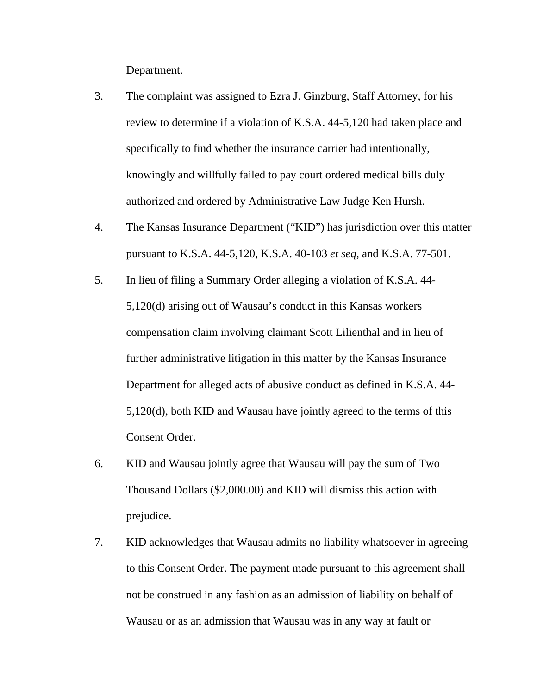Department.

- 3. The complaint was assigned to Ezra J. Ginzburg, Staff Attorney, for his review to determine if a violation of K.S.A. 44-5,120 had taken place and specifically to find whether the insurance carrier had intentionally, knowingly and willfully failed to pay court ordered medical bills duly authorized and ordered by Administrative Law Judge Ken Hursh.
- 4. The Kansas Insurance Department ("KID") has jurisdiction over this matter pursuant to K.S.A. 44-5,120, K.S.A. 40-103 *et seq,* and K.S.A. 77-501.
- 5. In lieu of filing a Summary Order alleging a violation of K.S.A. 44- 5,120(d) arising out of Wausau's conduct in this Kansas workers compensation claim involving claimant Scott Lilienthal and in lieu of further administrative litigation in this matter by the Kansas Insurance Department for alleged acts of abusive conduct as defined in K.S.A. 44- 5,120(d), both KID and Wausau have jointly agreed to the terms of this Consent Order.
- 6. KID and Wausau jointly agree that Wausau will pay the sum of Two Thousand Dollars (\$2,000.00) and KID will dismiss this action with prejudice.
- 7. KID acknowledges that Wausau admits no liability whatsoever in agreeing to this Consent Order. The payment made pursuant to this agreement shall not be construed in any fashion as an admission of liability on behalf of Wausau or as an admission that Wausau was in any way at fault or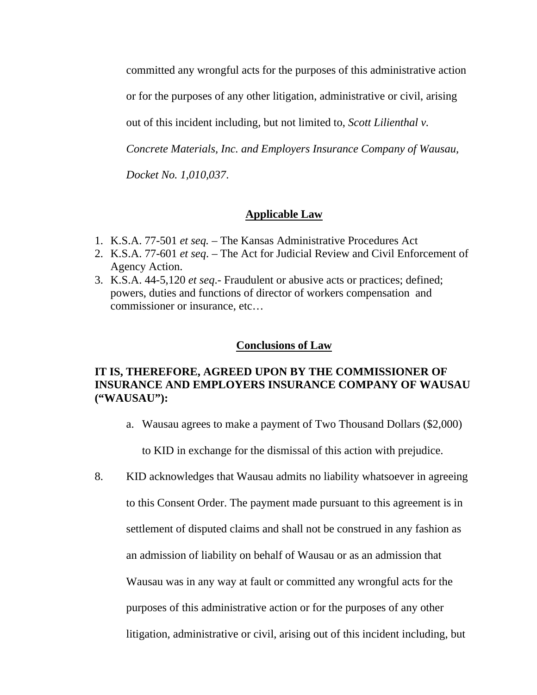committed any wrongful acts for the purposes of this administrative action

or for the purposes of any other litigation, administrative or civil, arising

out of this incident including, but not limited to, *Scott Lilienthal v.* 

*Concrete Materials, Inc. and Employers Insurance Company of Wausau,* 

*Docket No. 1,010,037*.

# **Applicable Law**

- 1. K.S.A. 77-501 *et seq.*  The Kansas Administrative Procedures Act
- 2. K.S.A. 77-601 *et seq*. The Act for Judicial Review and Civil Enforcement of Agency Action.
- 3. K.S.A. 44-5,120 *et seq*.- Fraudulent or abusive acts or practices; defined; powers, duties and functions of director of workers compensation and commissioner or insurance, etc…

#### **Conclusions of Law**

# **IT IS, THEREFORE, AGREED UPON BY THE COMMISSIONER OF INSURANCE AND EMPLOYERS INSURANCE COMPANY OF WAUSAU ("WAUSAU"):**

a. Wausau agrees to make a payment of Two Thousand Dollars (\$2,000)

to KID in exchange for the dismissal of this action with prejudice.

8. KID acknowledges that Wausau admits no liability whatsoever in agreeing to this Consent Order. The payment made pursuant to this agreement is in settlement of disputed claims and shall not be construed in any fashion as an admission of liability on behalf of Wausau or as an admission that Wausau was in any way at fault or committed any wrongful acts for the purposes of this administrative action or for the purposes of any other litigation, administrative or civil, arising out of this incident including, but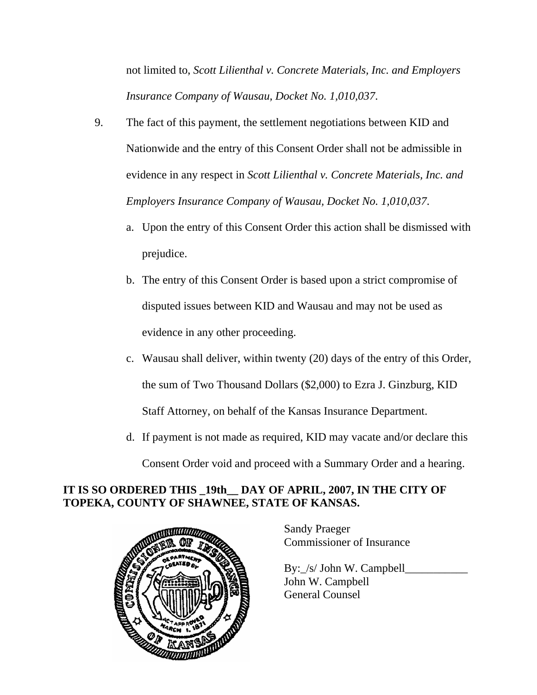not limited to, *Scott Lilienthal v. Concrete Materials, Inc. and Employers Insurance Company of Wausau, Docket No. 1,010,037*.

- 9. The fact of this payment, the settlement negotiations between KID and Nationwide and the entry of this Consent Order shall not be admissible in evidence in any respect in *Scott Lilienthal v. Concrete Materials, Inc. and Employers Insurance Company of Wausau, Docket No. 1,010,037*.
	- a. Upon the entry of this Consent Order this action shall be dismissed with prejudice.
	- b. The entry of this Consent Order is based upon a strict compromise of disputed issues between KID and Wausau and may not be used as evidence in any other proceeding.
	- c. Wausau shall deliver, within twenty (20) days of the entry of this Order, the sum of Two Thousand Dollars (\$2,000) to Ezra J. Ginzburg, KID Staff Attorney, on behalf of the Kansas Insurance Department.
	- d. If payment is not made as required, KID may vacate and/or declare this Consent Order void and proceed with a Summary Order and a hearing.

# **IT IS SO ORDERED THIS \_19th\_\_ DAY OF APRIL, 2007, IN THE CITY OF TOPEKA, COUNTY OF SHAWNEE, STATE OF KANSAS.**



Sandy Praeger Commissioner of Insurance

By: /s/ John W. Campbell John W. Campbell General Counsel